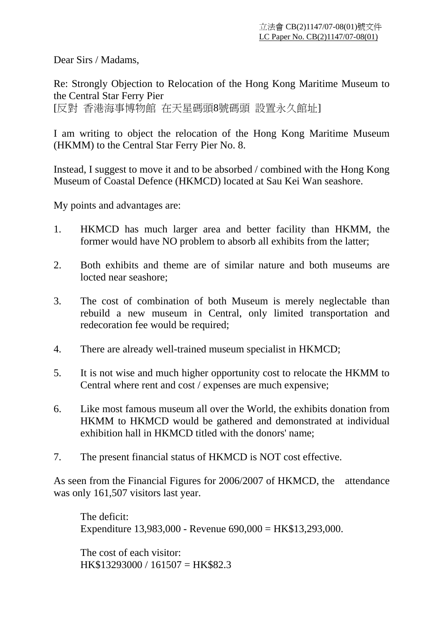Dear Sirs / Madams,

Re: Strongly Objection to Relocation of the Hong Kong Maritime Museum to the Central Star Ferry Pier

[反對 香港海事博物館 在天星碼頭8號碼頭 設置永久館址]

I am writing to object the relocation of the Hong Kong Maritime Museum (HKMM) to the Central Star Ferry Pier No. 8.

Instead, I suggest to move it and to be absorbed / combined with the Hong Kong Museum of Coastal Defence (HKMCD) located at Sau Kei Wan seashore.

My points and advantages are:

- 1. HKMCD has much larger area and better facility than HKMM, the former would have NO problem to absorb all exhibits from the latter;
- 2. Both exhibits and theme are of similar nature and both museums are locted near seashore;
- 3. The cost of combination of both Museum is merely neglectable than rebuild a new museum in Central, only limited transportation and redecoration fee would be required;
- 4. There are already well-trained museum specialist in HKMCD;
- 5. It is not wise and much higher opportunity cost to relocate the HKMM to Central where rent and cost / expenses are much expensive;
- 6. Like most famous museum all over the World, the exhibits donation from HKMM to HKMCD would be gathered and demonstrated at individual exhibition hall in HKMCD titled with the donors' name;
- 7. The present financial status of HKMCD is NOT cost effective.

As seen from the Financial Figures for 2006/2007 of HKMCD, the attendance was only 161,507 visitors last year.

The deficit: Expenditure 13,983,000 - Revenue 690,000 = HK\$13,293,000.

The cost of each visitor: HK\$13293000 / 161507 = HK\$82.3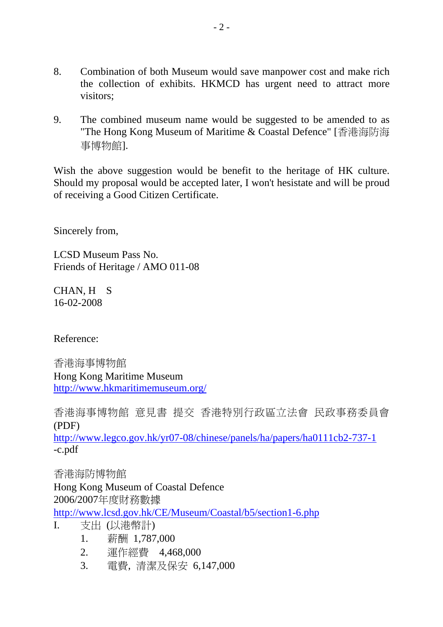- 8. Combination of both Museum would save manpower cost and make rich the collection of exhibits. HKMCD has urgent need to attract more visitors;
- 9. The combined museum name would be suggested to be amended to as "The Hong Kong Museum of Maritime & Coastal Defence" [香港海防海 事博物館].

Wish the above suggestion would be benefit to the heritage of HK culture. Should my proposal would be accepted later, I won't hesistate and will be proud of receiving a Good Citizen Certificate.

Sincerely from,

LCSD Museum Pass No. Friends of Heritage / AMO 011-08

CHAN, H S 16-02-2008

Reference:

香港海事博物館 Hong Kong Maritime Museum http://www.hkmaritimemuseum.org/

香港海事博物館 意見書 提交 香港特別行政區立法會 民政事務委員會 (PDF)

http://www.legco.gov.hk/yr07-08/chinese/panels/ha/papers/ha0111cb2-737-1 -c.pdf

香港海防博物館

Hong Kong Museum of Coastal Defence 2006/2007年度財務數據

http://www.lcsd.gov.hk/CE/Museum/Coastal/b5/section1-6.php

- I. 支出 (以港幣計)
	- 1. 薪酬 1,787,000
	- 2. 運作經費 4,468,000
	- 3. 電費, 清潔及保安 6,147,000